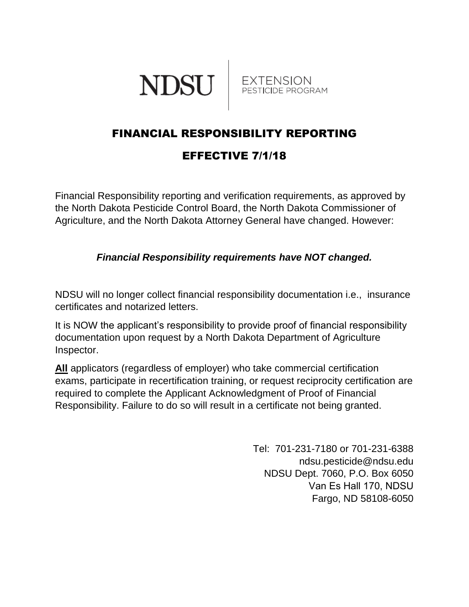



## FINANCIAL RESPONSIBILITY REPORTING EFFECTIVE 7/1/18

Financial Responsibility reporting and verification requirements, as approved by the North Dakota Pesticide Control Board, the North Dakota Commissioner of Agriculture, and the North Dakota Attorney General have changed. However:

## *Financial Responsibility requirements have NOT changed.*

NDSU will no longer collect financial responsibility documentation i.e., insurance certificates and notarized letters.

It is NOW the applicant's responsibility to provide proof of financial responsibility documentation upon request by a North Dakota Department of Agriculture Inspector.

**All** applicators (regardless of employer) who take commercial certification exams, participate in recertification training, or request reciprocity certification are required to complete the Applicant Acknowledgment of Proof of Financial Responsibility. Failure to do so will result in a certificate not being granted.

> Tel: 701-231-7180 or 701-231-6388 ndsu.pesticide@ndsu.edu NDSU Dept. 7060, P.O. Box 6050 Van Es Hall 170, NDSU Fargo, ND 58108-6050